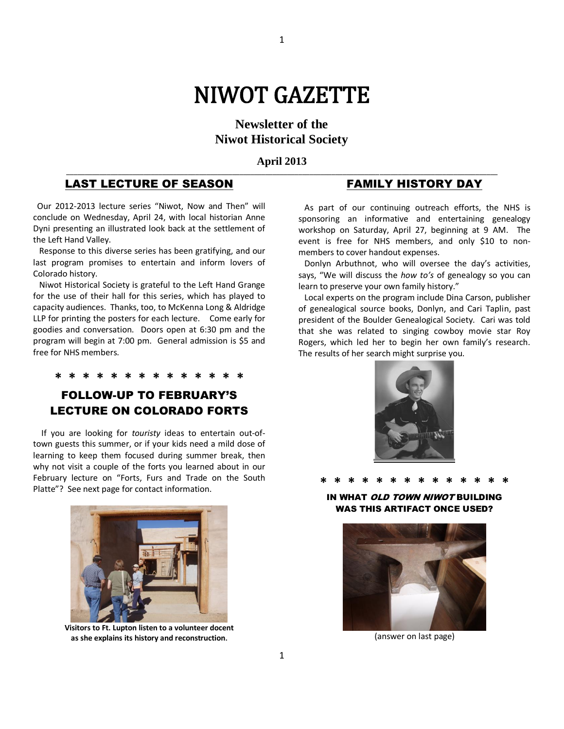# NIWOT GAZETTE

1

**Newsletter of the Niwot Historical Society**

#### **April 2013 \_\_\_\_\_\_\_\_\_\_\_\_\_\_\_\_\_\_\_\_\_\_\_\_\_\_\_\_\_\_\_\_\_\_\_\_\_\_\_\_\_\_\_\_\_\_\_\_\_\_\_\_\_\_\_\_\_\_\_\_\_\_\_\_\_\_\_\_\_\_\_\_\_\_\_\_\_\_\_\_\_\_\_\_\_\_\_\_\_\_\_\_\_\_\_\_\_\_\_\_\_\_\_\_\_\_\_\_\_\_\_\_\_\_\_\_\_**

### LAST LECTURE OF SEASON

 Our 2012-2013 lecture series "Niwot, Now and Then" will conclude on Wednesday, April 24, with local historian Anne Dyni presenting an illustrated look back at the settlement of the Left Hand Valley.

 Response to this diverse series has been gratifying, and our last program promises to entertain and inform lovers of Colorado history.

 Niwot Historical Society is grateful to the Left Hand Grange for the use of their hall for this series, which has played to capacity audiences. Thanks, too, to McKenna Long & Aldridge LLP for printing the posters for each lecture. Come early for goodies and conversation. Doors open at 6:30 pm and the program will begin at 7:00 pm. General admission is \$5 and free for NHS members.

### **\* \* \* \* \* \* \* \* \* \* \* \* \* \***

### FOLLOW-UP TO FEBRUARY'S LECTURE ON COLORADO FORTS

If you are looking for *touristy* ideas to entertain out-oftown guests this summer, or if your kids need a mild dose of learning to keep them focused during summer break, then why not visit a couple of the forts you learned about in our February lecture on "Forts, Furs and Trade on the South Platte"? See next page for contact information.



**Visitors to Ft. Lupton listen to a volunteer docent as she explains its history and reconstruction.**

### FAMILY HISTORY DAY

 As part of our continuing outreach efforts, the NHS is sponsoring an informative and entertaining genealogy workshop on Saturday, April 27, beginning at 9 AM. The event is free for NHS members, and only \$10 to nonmembers to cover handout expenses.

 Donlyn Arbuthnot, who will oversee the day's activities, says, "We will discuss the *how to's* of genealogy so you can learn to preserve your own family history."

 Local experts on the program include Dina Carson, publisher of genealogical source books, Donlyn, and Cari Taplin, past president of the Boulder Genealogical Society. Cari was told that she was related to singing cowboy movie star Roy Rogers, which led her to begin her own family's research. The results of her search might surprise you.



## **\* \* \* \* \* \* \* \* \* \* \* \* \* \***

WHAT OLD TOWN NIWOT BUILDING WAS THIS ARTIFACT ONCE USED?



(answer on last page)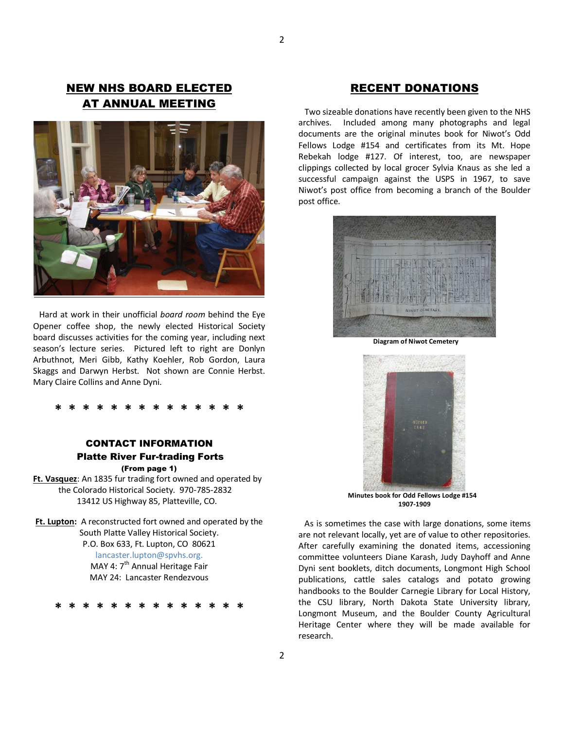### NEW NHS BOARD ELECTED AT ANNUAL MEETING



 Hard at work in their unofficial *board room* behind the Eye Opener coffee shop, the newly elected Historical Society board discusses activities for the coming year, including next season's lecture series. Pictured left to right are Donlyn Arbuthnot, Meri Gibb, Kathy Koehler, Rob Gordon, Laura Skaggs and Darwyn Herbst. Not shown are Connie Herbst. Mary Claire Collins and Anne Dyni.

### **\* \* \* \* \* \* \* \* \* \* \* \* \* \***

### CONTACT INFORMATION Platte River Fur-trading Forts (From page 1)

**Ft. Vasquez**: An 1835 fur trading fort owned and operated by the Colorado Historical Society. 970-785-2832 13412 US Highway 85, Platteville, CO.

**Ft. Lupton:** A reconstructed fort owned and operated by the South Platte Valley Historical Society. P.O. Box 633, Ft. Lupton, CO 80621 lancaster.lupton@spvhs.org. MAY 4: 7<sup>th</sup> Annual Heritage Fair MAY 24: Lancaster Rendezvous

**\* \* \* \* \* \* \* \* \* \* \* \* \* \*** 

### RECENT DONATIONS

 Two sizeable donations have recently been given to the NHS archives. Included among many photographs and legal documents are the original minutes book for Niwot's Odd Fellows Lodge #154 and certificates from its Mt. Hope Rebekah lodge #127. Of interest, too, are newspaper clippings collected by local grocer Sylvia Knaus as she led a successful campaign against the USPS in 1967, to save Niwot's post office from becoming a branch of the Boulder post office.



**Diagram of Niwot Cemetery** 



**1907-1909**

 As is sometimes the case with large donations, some items are not relevant locally, yet are of value to other repositories. After carefully examining the donated items, accessioning committee volunteers Diane Karash, Judy Dayhoff and Anne Dyni sent booklets, ditch documents, Longmont High School publications, cattle sales catalogs and potato growing handbooks to the Boulder Carnegie Library for Local History, the CSU library, North Dakota State University library, Longmont Museum, and the Boulder County Agricultural Heritage Center where they will be made available for research.